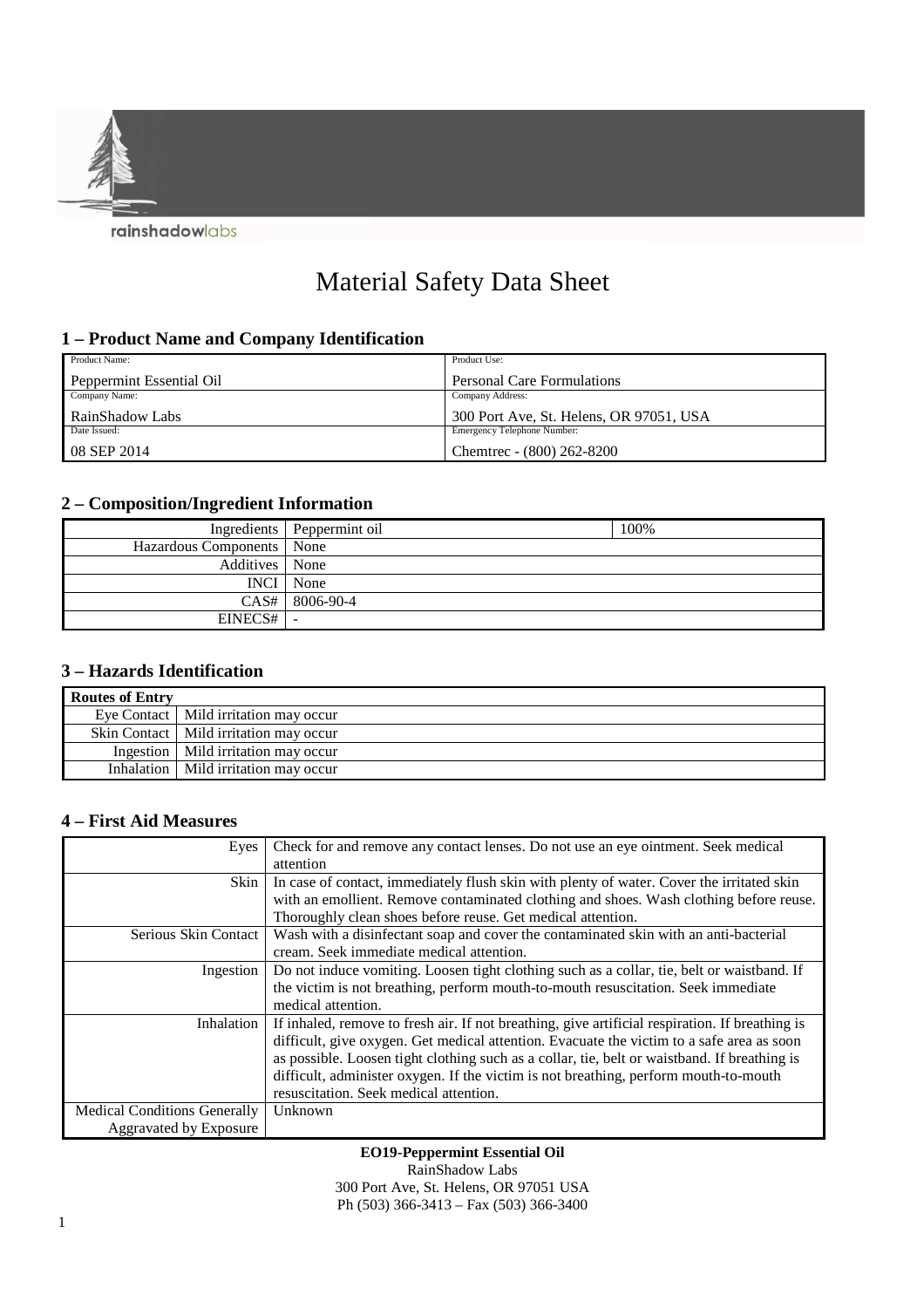

# Material Safety Data Sheet

## **1 – Product Name and Company Identification**

| Product Name:            | Product Use:                            |
|--------------------------|-----------------------------------------|
| Peppermint Essential Oil | Personal Care Formulations              |
| Company Name:            | Company Address:                        |
| RainShadow Labs          | 300 Port Ave, St. Helens, OR 97051, USA |
| Date Issued:             | Emergency Telephone Number:             |
| $08$ SEP 2014            | Chemtrec - (800) 262-8200               |

# **2 – Composition/Ingredient Information**

|                             | Ingredients   Peppermint oil | 100% |
|-----------------------------|------------------------------|------|
| Hazardous Components   None |                              |      |
| Additives None              |                              |      |
|                             | <b>INCI</b> None             |      |
|                             | $CAS#$ 8006-90-4             |      |
| EINECS#                     | $\overline{\phantom{a}}$     |      |

### **3 – Hazards Identification**

| <b>Routes of Entry</b> |                                          |
|------------------------|------------------------------------------|
|                        | Eye Contact   Mild irritation may occur  |
|                        | Skin Contact   Mild irritation may occur |
|                        | Ingestion   Mild irritation may occur    |
|                        | Inhalation   Mild irritation may occur   |

## **4 – First Aid Measures**

| Eyes                                | Check for and remove any contact lenses. Do not use an eye ointment. Seek medical               |
|-------------------------------------|-------------------------------------------------------------------------------------------------|
|                                     | attention                                                                                       |
| Skin                                | In case of contact, immediately flush skin with plenty of water. Cover the irritated skin       |
|                                     | with an emollient. Remove contaminated clothing and shoes. Wash clothing before reuse.          |
|                                     | Thoroughly clean shoes before reuse. Get medical attention.                                     |
| Serious Skin Contact                | Wash with a disinfectant soap and cover the contaminated skin with an anti-bacterial            |
|                                     | cream. Seek immediate medical attention.                                                        |
| Ingestion                           | Do not induce vomiting. Loosen tight clothing such as a collar, tie, belt or waistband. If      |
|                                     | the victim is not breathing, perform mouth-to-mouth resuscitation. Seek immediate               |
|                                     | medical attention.                                                                              |
| Inhalation                          | If inhaled, remove to fresh air. If not breathing, give artificial respiration. If breathing is |
|                                     | difficult, give oxygen. Get medical attention. Evacuate the victim to a safe area as soon       |
|                                     | as possible. Loosen tight clothing such as a collar, tie, belt or waistband. If breathing is    |
|                                     | difficult, administer oxygen. If the victim is not breathing, perform mouth-to-mouth            |
|                                     | resuscitation. Seek medical attention.                                                          |
| <b>Medical Conditions Generally</b> | Unknown                                                                                         |
| <b>Aggravated by Exposure</b>       |                                                                                                 |

#### **EO19-Peppermint Essential Oil**

RainShadow Labs

300 Port Ave, St. Helens, OR 97051 USA Ph (503) 366-3413 – Fax (503) 366-3400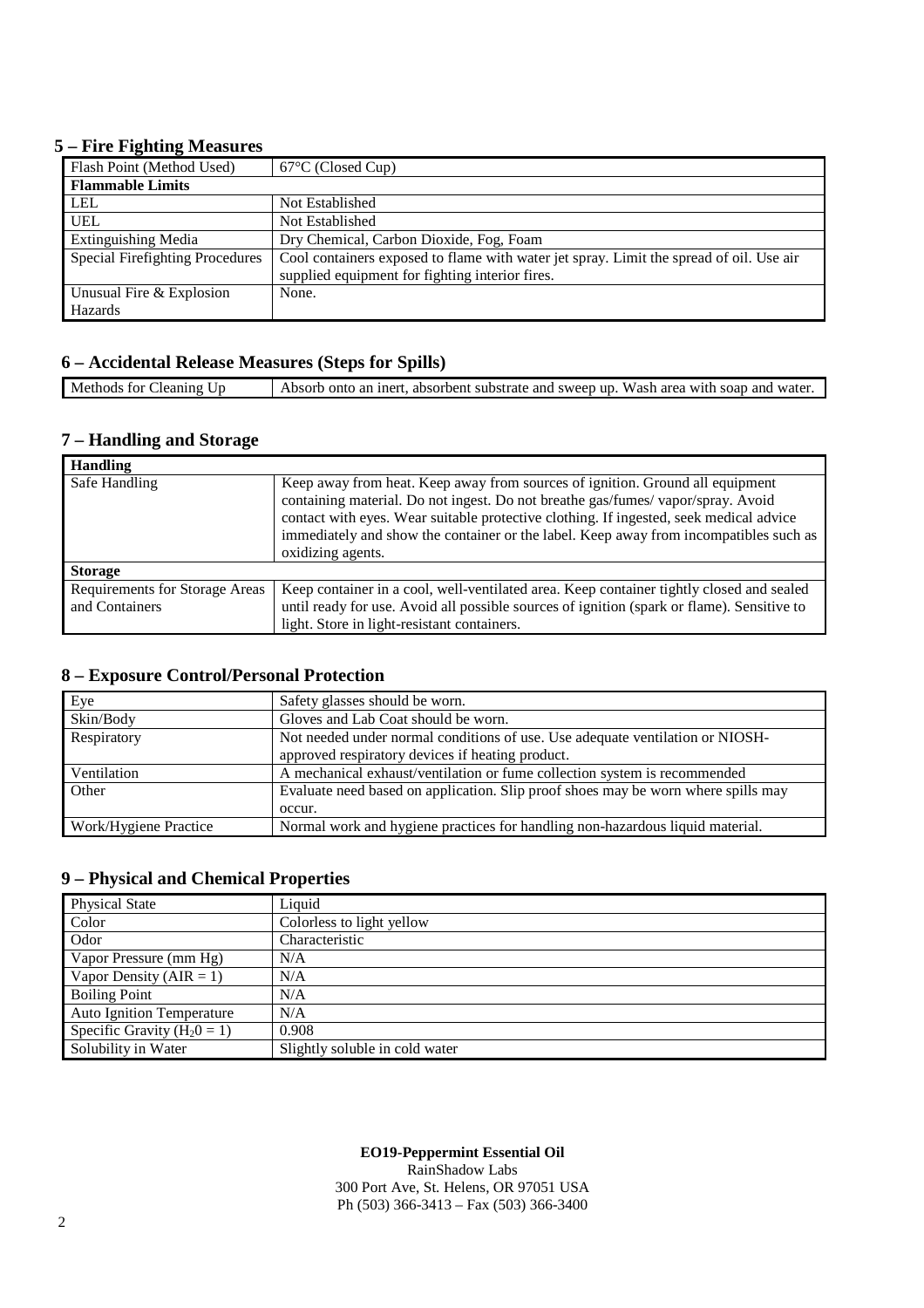#### **5 – Fire Fighting Measures**

| Flash Point (Method Used)       | $67^{\circ}$ C (Closed Cup)                                                             |
|---------------------------------|-----------------------------------------------------------------------------------------|
| <b>Flammable Limits</b>         |                                                                                         |
| <b>LEL</b>                      | Not Established                                                                         |
| <b>UEL</b>                      | Not Established                                                                         |
| <b>Extinguishing Media</b>      | Dry Chemical, Carbon Dioxide, Fog, Foam                                                 |
| Special Firefighting Procedures | Cool containers exposed to flame with water jet spray. Limit the spread of oil. Use air |
|                                 | supplied equipment for fighting interior fires.                                         |
| Unusual Fire & Explosion        | None.                                                                                   |
| Hazards                         |                                                                                         |

## **6 – Accidental Release Measures (Steps for Spills)**

|  | Methods,<br>leaning.<br>. for C | t, absorbent substrate and sweep up. Wash area with soap and water.<br>Absorb onto an inert. |
|--|---------------------------------|----------------------------------------------------------------------------------------------|
|--|---------------------------------|----------------------------------------------------------------------------------------------|

#### **7 – Handling and Storage**

| <b>Handling</b>                                         |                                                                                                                                                                                                                                                                                                                                                                          |
|---------------------------------------------------------|--------------------------------------------------------------------------------------------------------------------------------------------------------------------------------------------------------------------------------------------------------------------------------------------------------------------------------------------------------------------------|
| Safe Handling                                           | Keep away from heat. Keep away from sources of ignition. Ground all equipment<br>containing material. Do not ingest. Do not breathe gas/fumes/vapor/spray. Avoid<br>contact with eyes. Wear suitable protective clothing. If ingested, seek medical advice<br>immediately and show the container or the label. Keep away from incompatibles such as<br>oxidizing agents. |
| <b>Storage</b>                                          |                                                                                                                                                                                                                                                                                                                                                                          |
| <b>Requirements for Storage Areas</b><br>and Containers | Keep container in a cool, well-ventilated area. Keep container tightly closed and sealed<br>until ready for use. Avoid all possible sources of ignition (spark or flame). Sensitive to<br>light. Store in light-resistant containers.                                                                                                                                    |

## **8 – Exposure Control/Personal Protection**

| Eye                   | Safety glasses should be worn.                                                    |
|-----------------------|-----------------------------------------------------------------------------------|
| Skin/Body             | Gloves and Lab Coat should be worn.                                               |
| Respiratory           | Not needed under normal conditions of use. Use adequate ventilation or NIOSH-     |
|                       | approved respiratory devices if heating product.                                  |
| Ventilation           | A mechanical exhaust/ventilation or fume collection system is recommended         |
| Other                 | Evaluate need based on application. Slip proof shoes may be worn where spills may |
|                       | occur.                                                                            |
| Work/Hygiene Practice | Normal work and hygiene practices for handling non-hazardous liquid material.     |

## **9 – Physical and Chemical Properties**

| <b>Physical State</b>            | Liquid                         |
|----------------------------------|--------------------------------|
| Color                            | Colorless to light yellow      |
| Odor                             | Characteristic                 |
| Vapor Pressure (mm Hg)           | N/A                            |
| Vapor Density ( $AIR = 1$ )      | N/A                            |
| <b>Boiling Point</b>             | N/A                            |
| <b>Auto Ignition Temperature</b> | N/A                            |
| Specific Gravity ( $H_20 = 1$ )  | 0.908                          |
| Solubility in Water              | Slightly soluble in cold water |

#### **EO19-Peppermint Essential Oil**

RainShadow Labs 300 Port Ave, St. Helens, OR 97051 USA Ph (503) 366-3413 – Fax (503) 366-3400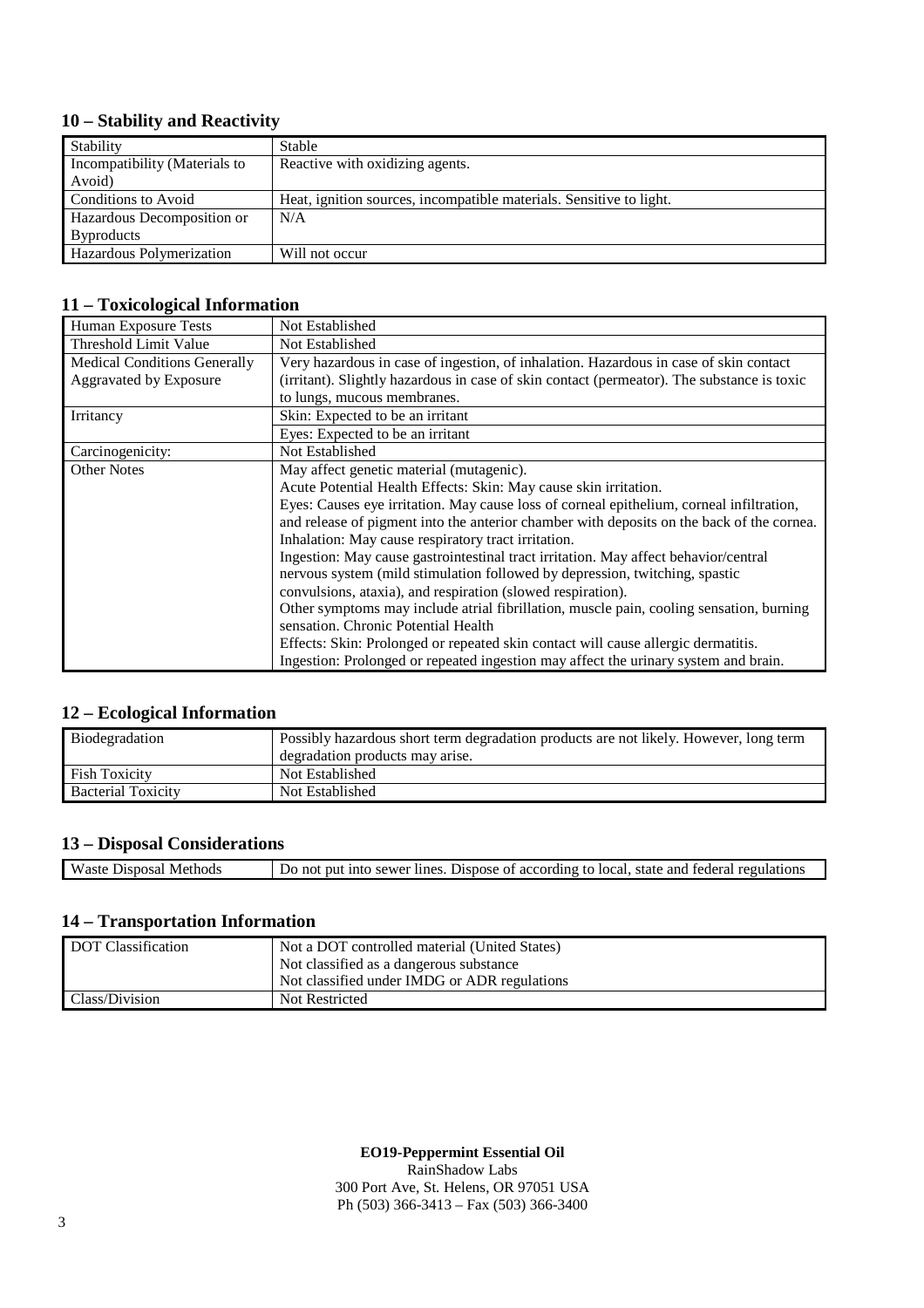# **10 – Stability and Reactivity**

| Stability                     | Stable                                                              |
|-------------------------------|---------------------------------------------------------------------|
| Incompatibility (Materials to | Reactive with oxidizing agents.                                     |
| Avoid)                        |                                                                     |
| Conditions to Avoid           | Heat, ignition sources, incompatible materials. Sensitive to light. |
| Hazardous Decomposition or    | N/A                                                                 |
| <b>Byproducts</b>             |                                                                     |
| Hazardous Polymerization      | Will not occur                                                      |

# **11 – Toxicological Information**

| Human Exposure Tests                | Not Established                                                                            |
|-------------------------------------|--------------------------------------------------------------------------------------------|
| Threshold Limit Value               | Not Established                                                                            |
| <b>Medical Conditions Generally</b> | Very hazardous in case of ingestion, of inhalation. Hazardous in case of skin contact      |
| <b>Aggravated by Exposure</b>       | (irritant). Slightly hazardous in case of skin contact (permeator). The substance is toxic |
|                                     | to lungs, mucous membranes.                                                                |
| Irritancy                           | Skin: Expected to be an irritant                                                           |
|                                     | Eyes: Expected to be an irritant                                                           |
| Carcinogenicity:                    | Not Established                                                                            |
| <b>Other Notes</b>                  | May affect genetic material (mutagenic).                                                   |
|                                     | Acute Potential Health Effects: Skin: May cause skin irritation.                           |
|                                     | Eyes: Causes eye irritation. May cause loss of corneal epithelium, corneal infiltration,   |
|                                     | and release of pigment into the anterior chamber with deposits on the back of the cornea.  |
|                                     | Inhalation: May cause respiratory tract irritation.                                        |
|                                     | Ingestion: May cause gastrointestinal tract irritation. May affect behavior/central        |
|                                     | nervous system (mild stimulation followed by depression, twitching, spastic                |
|                                     | convulsions, ataxia), and respiration (slowed respiration).                                |
|                                     | Other symptoms may include atrial fibrillation, muscle pain, cooling sensation, burning    |
|                                     | sensation. Chronic Potential Health                                                        |
|                                     | Effects: Skin: Prolonged or repeated skin contact will cause allergic dermatitis.          |
|                                     | Ingestion: Prolonged or repeated ingestion may affect the urinary system and brain.        |

## **12 – Ecological Information**

| Biodegradation            | Possibly hazardous short term degradation products are not likely. However, long term |
|---------------------------|---------------------------------------------------------------------------------------|
|                           | degradation products may arise.                                                       |
| <b>Fish Toxicity</b>      | Not Established                                                                       |
| <b>Bacterial Toxicity</b> | Not Established                                                                       |

# **13 – Disposal Considerations**

| Waste<br>Methods<br>Disposal | lines<br>according<br>Dispose<br>and<br>sewer<br>tedera.<br>Tocal<br>state<br>$r0$ $r1$<br>tΩ<br>nu<br>- OT<br>noi<br>JΩ<br>INTO<br>''''4''' |
|------------------------------|----------------------------------------------------------------------------------------------------------------------------------------------|
|                              |                                                                                                                                              |

## **14 – Transportation Information**

| DOT Classification | Not a DOT controlled material (United States) |
|--------------------|-----------------------------------------------|
|                    | Not classified as a dangerous substance       |
|                    | Not classified under IMDG or ADR regulations  |
| Class/Division     | Not Restricted                                |

**EO19-Peppermint Essential Oil** 

RainShadow Labs 300 Port Ave, St. Helens, OR 97051 USA Ph (503) 366-3413 – Fax (503) 366-3400